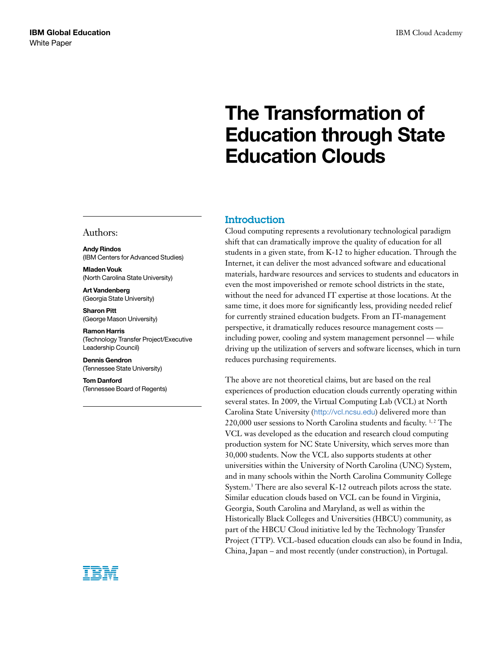# The Transformation of Education through State Education Clouds

#### Introduction

Cloud computing represents a revolutionary technological paradigm shift that can dramatically improve the quality of education for all students in a given state, from K-12 to higher education. Through the Internet, it can deliver the most advanced software and educational materials, hardware resources and services to students and educators in even the most impoverished or remote school districts in the state, without the need for advanced IT expertise at those locations. At the same time, it does more for significantly less, providing needed relief for currently strained education budgets. From an IT-management perspective, it dramatically reduces resource management costs including power, cooling and system management personnel — while driving up the utilization of servers and software licenses, which in turn reduces purchasing requirements.

The above are not theoretical claims, but are based on the real experiences of production education clouds currently operating within several states. In 2009, the Virtual Computing Lab (VCL) at North Carolina State University (<http://vcl.ncsu.edu>) delivered more than 220,000 user sessions to North Carolina students and faculty.<sup>1,2</sup> The VCL was developed as the education and research cloud computing production system for NC State University, which serves more than 30,000 students. Now the VCL also supports students at other universities within the University of North Carolina (UNC) System, and in many schools within the North Carolina Community College System.3 There are also several K-12 outreach pilots across the state. Similar education clouds based on VCL can be found in Virginia, Georgia, South Carolina and Maryland, as well as within the Historically Black Colleges and Universities (HBCU) community, as part of the HBCU Cloud initiative led by the Technology Transfer Project (TTP). VCL-based education clouds can also be found in India, China, Japan – and most recently (under construction), in Portugal.

#### Authors:

Andy Rindos (IBM Centers for Advanced Studies)

Mladen Vouk (North Carolina State University)

Art Vandenberg (Georgia State University)

Sharon Pitt (George Mason University)

Ramon Harris (Technology Transfer Project/Executive Leadership Council)

Dennis Gendron (Tennessee State University)

Tom Danford (Tennessee Board of Regents)

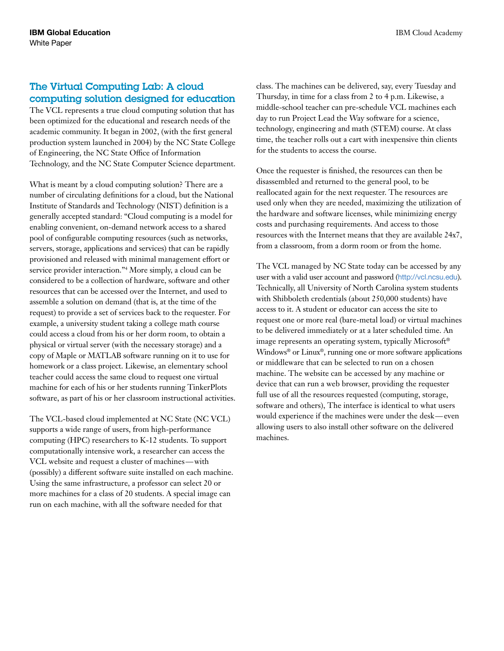## The Virtual Computing Lab: A cloud computing solution designed for education

The VCL represents a true cloud computing solution that has been optimized for the educational and research needs of the academic community. It began in 2002, (with the first general production system launched in 2004) by the NC State College of Engineering, the NC State Office of Information Technology, and the NC State Computer Science department.

What is meant by a cloud computing solution? There are a number of circulating definitions for a cloud, but the National Institute of Standards and Technology (NIST) definition is a generally accepted standard: "Cloud computing is a model for enabling convenient, on-demand network access to a shared pool of configurable computing resources (such as networks, servers, storage, applications and services) that can be rapidly provisioned and released with minimal management effort or service provider interaction."4 More simply, a cloud can be considered to be a collection of hardware, software and other resources that can be accessed over the Internet, and used to assemble a solution on demand (that is, at the time of the request) to provide a set of services back to the requester. For example, a university student taking a college math course could access a cloud from his or her dorm room, to obtain a physical or virtual server (with the necessary storage) and a copy of Maple or MATLAB software running on it to use for homework or a class project. Likewise, an elementary school teacher could access the same cloud to request one virtual machine for each of his or her students running TinkerPlots software, as part of his or her classroom instructional activities.

The VCL-based cloud implemented at NC State (NC VCL) supports a wide range of users, from high-performance computing (HPC) researchers to K-12 students. To support computationally intensive work, a researcher can access the VCL website and request a cluster of machines—with (possibly) a different software suite installed on each machine. Using the same infrastructure, a professor can select 20 or more machines for a class of 20 students. A special image can run on each machine, with all the software needed for that

class. The machines can be delivered, say, every Tuesday and Thursday, in time for a class from 2 to 4 p.m. Likewise, a middle-school teacher can pre-schedule VCL machines each day to run Project Lead the Way software for a science, technology, engineering and math (STEM) course. At class time, the teacher rolls out a cart with inexpensive thin clients for the students to access the course.

Once the requester is finished, the resources can then be disassembled and returned to the general pool, to be reallocated again for the next requester. The resources are used only when they are needed, maximizing the utilization of the hardware and software licenses, while minimizing energy costs and purchasing requirements. And access to those resources with the Internet means that they are available 24x7, from a classroom, from a dorm room or from the home.

The VCL managed by NC State today can be accessed by any user with a valid user account and password (<http://vcl.ncsu.edu>). Technically, all University of North Carolina system students with Shibboleth credentials (about 250,000 students) have access to it. A student or educator can access the site to request one or more real (bare-metal load) or virtual machines to be delivered immediately or at a later scheduled time. An image represents an operating system, typically Microsoft® Windows® or Linux®, running one or more software applications or middleware that can be selected to run on a chosen machine. The website can be accessed by any machine or device that can run a web browser, providing the requester full use of all the resources requested (computing, storage, software and others), The interface is identical to what users would experience if the machines were under the desk—even allowing users to also install other software on the delivered machines.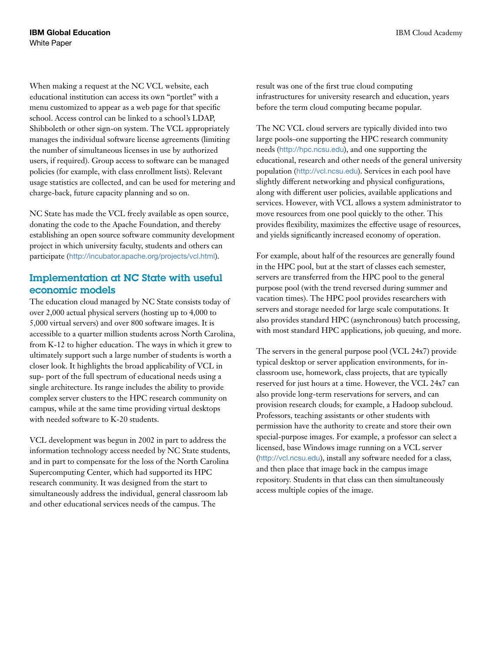When making a request at the NC VCL website, each educational institution can access its own "portlet" with a menu customized to appear as a web page for that specific school. Access control can be linked to a school's LDAP, Shibboleth or other sign-on system. The VCL appropriately manages the individual software license agreements (limiting the number of simultaneous licenses in use by authorized users, if required). Group access to software can be managed policies (for example, with class enrollment lists). Relevant usage statistics are collected, and can be used for metering and charge-back, future capacity planning and so on.

NC State has made the VCL freely available as open source, donating the code to the Apache Foundation, and thereby establishing an open source software community development project in which university faculty, students and others can participate (<http://incubator.apache.org/projects/vcl.html>).

#### Implementation at NC State with useful economic models

The education cloud managed by NC State consists today of over 2,000 actual physical servers (hosting up to 4,000 to 5,000 virtual servers) and over 800 software images. It is accessible to a quarter million students across North Carolina, from K-12 to higher education. The ways in which it grew to ultimately support such a large number of students is worth a closer look. It highlights the broad applicability of VCL in sup- port of the full spectrum of educational needs using a single architecture. Its range includes the ability to provide complex server clusters to the HPC research community on campus, while at the same time providing virtual desktops with needed software to K-20 students.

VCL development was begun in 2002 in part to address the information technology access needed by NC State students, and in part to compensate for the loss of the North Carolina Supercomputing Center, which had supported its HPC research community. It was designed from the start to simultaneously address the individual, general classroom lab and other educational services needs of the campus. The

result was one of the first true cloud computing infrastructures for university research and education, years before the term cloud computing became popular.

The NC VCL cloud servers are typically divided into two large pools–one supporting the HPC research community needs (<http://hpc.ncsu.edu>), and one supporting the educational, research and other needs of the general university population (<http://vcl.ncsu.edu>). Services in each pool have slightly different networking and physical configurations, along with different user policies, available applications and services. However, with VCL allows a system administrator to move resources from one pool quickly to the other. This provides flexibility, maximizes the effective usage of resources, and yields significantly increased economy of operation.

For example, about half of the resources are generally found in the HPC pool, but at the start of classes each semester, servers are transferred from the HPC pool to the general purpose pool (with the trend reversed during summer and vacation times). The HPC pool provides researchers with servers and storage needed for large scale computations. It also provides standard HPC (asynchronous) batch processing, with most standard HPC applications, job queuing, and more.

The servers in the general purpose pool (VCL 24x7) provide typical desktop or server application environments, for inclassroom use, homework, class projects, that are typically reserved for just hours at a time. However, the VCL 24x7 can also provide long-term reservations for servers, and can provision research clouds; for example, a Hadoop subcloud. Professors, teaching assistants or other students with permission have the authority to create and store their own special-purpose images. For example, a professor can select a licensed, base Windows image running on a VCL server (<http://vcl.ncsu.edu>), install any software needed for a class, and then place that image back in the campus image repository. Students in that class can then simultaneously access multiple copies of the image.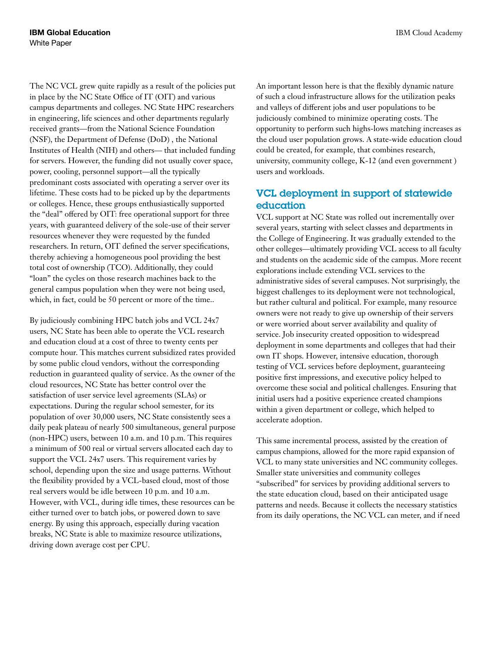The NC VCL grew quite rapidly as a result of the policies put in place by the NC State Office of IT (OIT) and various campus departments and colleges. NC State HPC researchers in engineering, life sciences and other departments regularly received grants—from the National Science Foundation (NSF), the Department of Defense (DoD) , the National Institutes of Health (NIH) and others— that included funding for servers. However, the funding did not usually cover space, power, cooling, personnel support—all the typically predominant costs associated with operating a server over its lifetime. These costs had to be picked up by the departments or colleges. Hence, these groups enthusiastically supported the "deal" offered by OIT: free operational support for three years, with guaranteed delivery of the sole-use of their server resources whenever they were requested by the funded researchers. In return, OIT defined the server specifications, thereby achieving a homogeneous pool providing the best total cost of ownership (TCO). Additionally, they could "loan" the cycles on those research machines back to the general campus population when they were not being used, which, in fact, could be 50 percent or more of the time..

By judiciously combining HPC batch jobs and VCL 24x7 users, NC State has been able to operate the VCL research and education cloud at a cost of three to twenty cents per compute hour. This matches current subsidized rates provided by some public cloud vendors, without the corresponding reduction in guaranteed quality of service. As the owner of the cloud resources, NC State has better control over the satisfaction of user service level agreements (SLAs) or expectations. During the regular school semester, for its population of over 30,000 users, NC State consistently sees a daily peak plateau of nearly 500 simultaneous, general purpose (non-HPC) users, between 10 a.m. and 10 p.m. This requires a minimum of 500 real or virtual servers allocated each day to support the VCL 24x7 users. This requirement varies by school, depending upon the size and usage patterns. Without the flexibility provided by a VCL-based cloud, most of those real servers would be idle between 10 p.m. and 10 a.m. However, with VCL, during idle times, these resources can be either turned over to batch jobs, or powered down to save energy. By using this approach, especially during vacation breaks, NC State is able to maximize resource utilizations, driving down average cost per CPU.

An important lesson here is that the flexibly dynamic nature of such a cloud infrastructure allows for the utilization peaks and valleys of different jobs and user populations to be judiciously combined to minimize operating costs. The opportunity to perform such highs-lows matching increases as the cloud user population grows. A state-wide education cloud could be created, for example, that combines research, university, community college, K-12 (and even government ) users and workloads.

## VCL deployment in support of statewide education

VCL support at NC State was rolled out incrementally over several years, starting with select classes and departments in the College of Engineering. It was gradually extended to the other colleges—ultimately providing VCL access to all faculty and students on the academic side of the campus. More recent explorations include extending VCL services to the administrative sides of several campuses. Not surprisingly, the biggest challenges to its deployment were not technological, but rather cultural and political. For example, many resource owners were not ready to give up ownership of their servers or were worried about server availability and quality of service. Job insecurity created opposition to widespread deployment in some departments and colleges that had their own IT shops. However, intensive education, thorough testing of VCL services before deployment, guaranteeing positive first impressions, and executive policy helped to overcome these social and political challenges. Ensuring that initial users had a positive experience created champions within a given department or college, which helped to accelerate adoption.

This same incremental process, assisted by the creation of campus champions, allowed for the more rapid expansion of VCL to many state universities and NC community colleges. Smaller state universities and community colleges "subscribed" for services by providing additional servers to the state education cloud, based on their anticipated usage patterns and needs. Because it collects the necessary statistics from its daily operations, the NC VCL can meter, and if need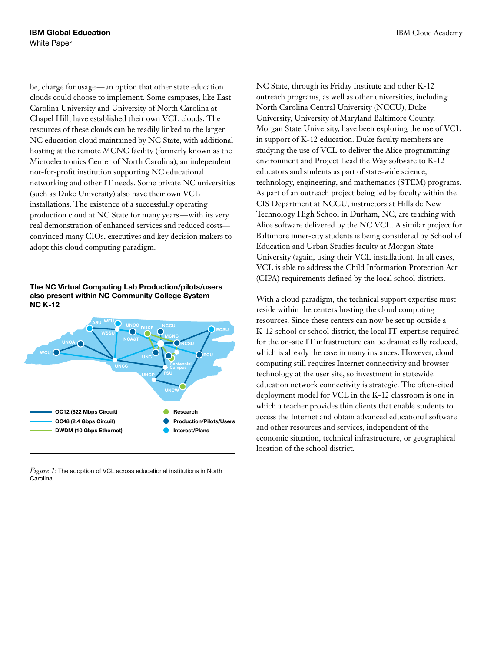be, charge for usage—an option that other state education clouds could choose to implement. Some campuses, like East Carolina University and University of North Carolina at Chapel Hill, have established their own VCL clouds. The resources of these clouds can be readily linked to the larger NC education cloud maintained by NC State, with additional hosting at the remote MCNC facility (formerly known as the Microelectronics Center of North Carolina), an independent not-for-profit institution supporting NC educational networking and other IT needs. Some private NC universities (such as Duke University) also have their own VCL installations. The existence of a successfully operating production cloud at NC State for many years—with its very real demonstration of enhanced services and reduced costs convinced many CIOs, executives and key decision makers to adopt this cloud computing paradigm.

The NC Virtual Computing Lab Production/pilots/users also present within NC Community College System NC K-12



*Figure 1:* The adoption of VCL across educational institutions in North Carolina.

NC State, through its Friday Institute and other K-12 outreach programs, as well as other universities, including North Carolina Central University (NCCU), Duke University, University of Maryland Baltimore County, Morgan State University, have been exploring the use of VCL in support of K-12 education. Duke faculty members are studying the use of VCL to deliver the Alice programming environment and Project Lead the Way software to K-12 educators and students as part of state-wide science, technology, engineering, and mathematics (STEM) programs. As part of an outreach project being led by faculty within the CIS Department at NCCU, instructors at Hillside New Technology High School in Durham, NC, are teaching with Alice software delivered by the NC VCL. A similar project for Baltimore inner-city students is being considered by School of Education and Urban Studies faculty at Morgan State University (again, using their VCL installation). In all cases, VCL is able to address the Child Information Protection Act (CIPA) requirements defined by the local school districts.

With a cloud paradigm, the technical support expertise must reside within the centers hosting the cloud computing resources. Since these centers can now be set up outside a K-12 school or school district, the local IT expertise required for the on-site IT infrastructure can be dramatically reduced, which is already the case in many instances. However, cloud computing still requires Internet connectivity and browser technology at the user site, so investment in statewide education network connectivity is strategic. The often-cited deployment model for VCL in the K-12 classroom is one in which a teacher provides thin clients that enable students to access the Internet and obtain advanced educational software and other resources and services, independent of the economic situation, technical infrastructure, or geographical location of the school district.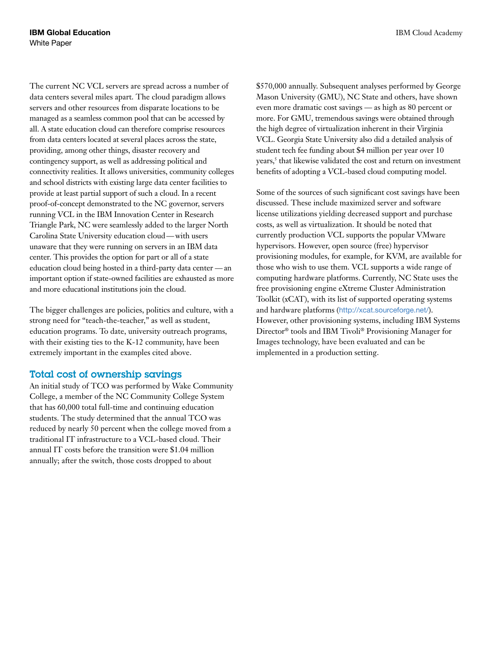The current NC VCL servers are spread across a number of data centers several miles apart. The cloud paradigm allows servers and other resources from disparate locations to be managed as a seamless common pool that can be accessed by all. A state education cloud can therefore comprise resources from data centers located at several places across the state, providing, among other things, disaster recovery and contingency support, as well as addressing political and connectivity realities. It allows universities, community colleges and school districts with existing large data center facilities to provide at least partial support of such a cloud. In a recent proof-of-concept demonstrated to the NC governor, servers running VCL in the IBM Innovation Center in Research Triangle Park, NC were seamlessly added to the larger North Carolina State University education cloud — with users unaware that they were running on servers in an IBM data center. This provides the option for part or all of a state education cloud being hosted in a third-party data center — an important option if state-owned facilities are exhausted as more and more educational institutions join the cloud.

The bigger challenges are policies, politics and culture, with a strong need for "teach-the-teacher," as well as student, education programs. To date, university outreach programs, with their existing ties to the K-12 community, have been extremely important in the examples cited above.

#### Total cost of ownership savings

An initial study of TCO was performed by Wake Community College, a member of the NC Community College System that has 60,000 total full-time and continuing education students. The study determined that the annual TCO was reduced by nearly 50 percent when the college moved from a traditional IT infrastructure to a VCL-based cloud. Their annual IT costs before the transition were \$1.04 million annually; after the switch, those costs dropped to about

\$570,000 annually. Subsequent analyses performed by George Mason University (GMU), NC State and others, have shown even more dramatic cost savings — as high as 80 percent or more. For GMU, tremendous savings were obtained through the high degree of virtualization inherent in their Virginia VCL. Georgia State University also did a detailed analysis of student tech fee funding about \$4 million per year over 10 years,<sup>5</sup> that likewise validated the cost and return on investment benefits of adopting a VCL-based cloud computing model.

Some of the sources of such significant cost savings have been discussed. These include maximized server and software license utilizations yielding decreased support and purchase costs, as well as virtualization. It should be noted that currently production VCL supports the popular VMware hypervisors. However, open source (free) hypervisor provisioning modules, for example, for KVM, are available for those who wish to use them. VCL supports a wide range of computing hardware platforms. Currently, NC State uses the free provisioning engine eXtreme Cluster Administration Toolkit (xCAT), with its list of supported operating systems and hardware platforms (<http://xcat.sourceforge.net/>). However, other provisioning systems, including IBM Systems Director® tools and IBM Tivoli® Provisioning Manager for Images technology, have been evaluated and can be implemented in a production setting.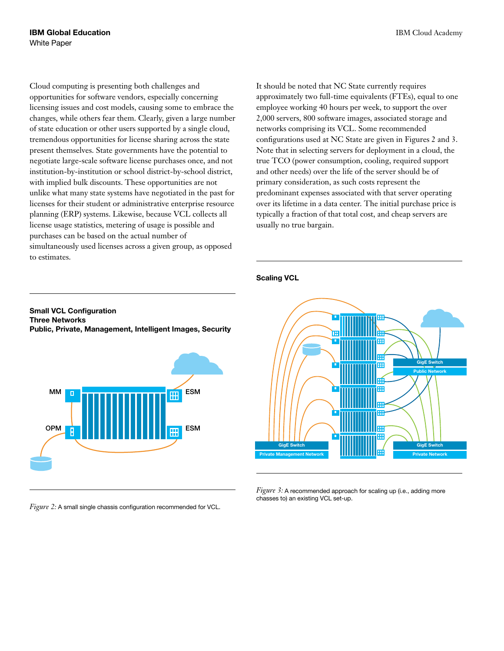Cloud computing is presenting both challenges and opportunities for software vendors, especially concerning licensing issues and cost models, causing some to embrace the changes, while others fear them. Clearly, given a large number of state education or other users supported by a single cloud, tremendous opportunities for license sharing across the state present themselves. State governments have the potential to negotiate large-scale software license purchases once, and not institution-by-institution or school district-by-school district, with implied bulk discounts. These opportunities are not unlike what many state systems have negotiated in the past for licenses for their student or administrative enterprise resource planning (ERP) systems. Likewise, because VCL collects all license usage statistics, metering of usage is possible and purchases can be based on the actual number of simultaneously used licenses across a given group, as opposed to estimates.

It should be noted that NC State currently requires approximately two full-time equivalents (FTEs), equal to one employee working 40 hours per week, to support the over 2,000 servers, 800 software images, associated storage and networks comprising its VCL. Some recommended configurations used at NC State are given in Figures 2 and 3. Note that in selecting servers for deployment in a cloud, the true TCO (power consumption, cooling, required support and other needs) over the life of the server should be of primary consideration, as such costs represent the predominant expenses associated with that server operating over its lifetime in a data center. The initial purchase price is typically a fraction of that total cost, and cheap servers are usually no true bargain.

#### Scaling VCL

# Small VCL Configuration Three Networks Public, Private, Management, Intelligent Images, Security



*Figure 2:* A small single chassis configuration recommended for VCL.



*Figure 3*: A recommended approach for scaling up (i.e., adding more chasses to) an existing VCL set-up.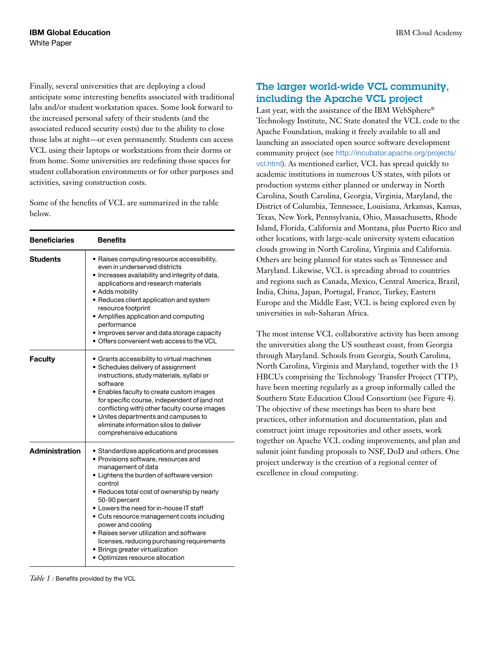Finally, several universities that are deploying a cloud anticipate some interesting benefits associated with traditional labs and/or student workstation spaces. Some look forward to the increased personal safety of their students (and the associated reduced security costs) due to the ability to close those labs at night—or even permanently. Students can access VCL using their laptops or workstations from their dorms or from home. Some universities are redefining those spaces for student collaboration environments or for other purposes and activities, saving construction costs.

Some of the benefits of VCL are summarized in the table below.

| <b>Beneficiaries</b> | <b>Benefits</b>                                                                                                                                                                                                                                                                                                                                                                                                                                                                                               |
|----------------------|---------------------------------------------------------------------------------------------------------------------------------------------------------------------------------------------------------------------------------------------------------------------------------------------------------------------------------------------------------------------------------------------------------------------------------------------------------------------------------------------------------------|
| <b>Students</b>      | • Raises computing resource accessibility,<br>even in underserved districts<br>• Increases availability and integrity of data,<br>applications and research materials<br>· Adds mobility<br>• Reduces client application and system<br>resource footprint<br>• Amplifies application and computing<br>performance<br>• Improves server and data storage capacity<br>• Offers convenient web access to the VCL                                                                                                 |
| <b>Faculty</b>       | • Grants accessibility to virtual machines<br>• Schedules delivery of assignment<br>instructions, study materials, syllabi or<br>software<br>• Enables faculty to create custom images<br>for specific course, independent of (and not<br>conflicting with) other faculty course images<br>• Unites departments and campuses to<br>eliminate information silos to deliver<br>comprehensive educations                                                                                                         |
| Administration       | • Standardizes applications and processes<br>· Provisions software, resources and<br>management of data<br>• Lightens the burden of software version<br>control<br>• Reduces total cost of ownership by nearly<br>50-90 percent<br>• Lowers the need for in-house IT staff<br>• Cuts resource management costs including<br>power and cooling<br>• Raises server utilization and software<br>licenses, reducing purchasing requirements<br>• Brings greater virtualization<br>• Optimizes resource allocation |

## The larger world-wide VCL community, including the Apache VCL project

Last year, with the assistance of the IBM WebSphere® Technology Institute, NC State donated the VCL code to the Apache Foundation, making it freely available to all and launching an associated open source software development community project (see [http://incubator.apache.org/projects/](http://xcat.sourceforge.net/)  [vcl.html](http://xcat.sourceforge.net/)). As mentioned earlier, VCL has spread quickly to academic institutions in numerous US states, with pilots or production systems either planned or underway in North Carolina, South Carolina, Georgia, Virginia, Maryland, the District of Columbia, Tennessee, Louisiana, Arkansas, Kansas, Texas, New York, Pennsylvania, Ohio, Massachusetts, Rhode Island, Florida, California and Montana, plus Puerto Rico and other locations, with large-scale university system education clouds growing in North Carolina, Virginia and California. Others are being planned for states such as Tennessee and Maryland. Likewise, VCL is spreading abroad to countries and regions such as Canada, Mexico, Central America, Brazil, India, China, Japan, Portugal, France, Turkey, Eastern Europe and the Middle East; VCL is being explored even by universities in sub-Saharan Africa.

The most intense VCL collaborative activity has been among the universities along the US southeast coast, from Georgia through Maryland. Schools from Georgia, South Carolina, North Carolina, Virginia and Maryland, together with the 13 HBCUs comprising the Technology Transfer Project (TTP), have been meeting regularly as a group informally called the Southern State Education Cloud Consortium (see Figure 4). The objective of these meetings has been to share best practices, other information and documentation, plan and construct joint image repositories and other assets, work together on Apache VCL coding improvements, and plan and submit joint funding proposals to NSF, DoD and others. One project underway is the creation of a regional center of excellence in cloud computing.

*Table 1 :* Benefits provided by the VCL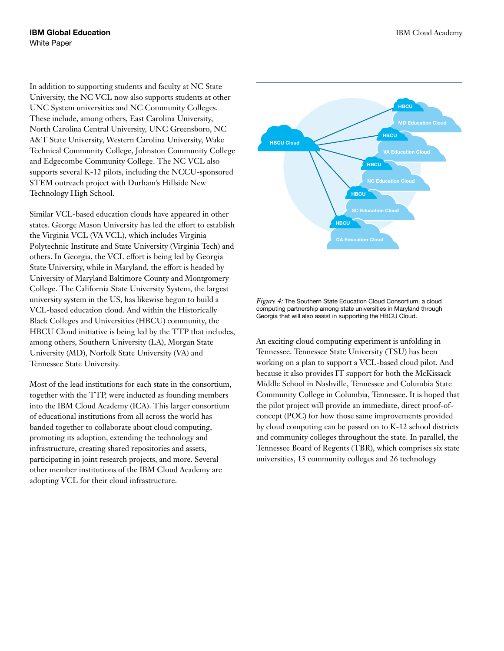In addition to supporting students and faculty at NC State University, the NC VCL now also supports students at other UNC System universities and NC Community Colleges. These include, among others, East Carolina University, North Carolina Central University, UNC Greensboro, NC A&T State University, Western Carolina University, Wake Technical Community College, Johnston Community College and Edgecombe Community College. The NC VCL also supports several K-12 pilots, including the NCCU-sponsored STEM outreach project with Durham's Hillside New Technology High School.

Similar VCL-based education clouds have appeared in other states. George Mason University has led the effort to establish the Virginia VCL (VA VCL), which includes Virginia Polytechnic Institute and State University (Virginia Tech) and others. In Georgia, the VCL effort is being led by Georgia State University, while in Maryland, the effort is headed by University of Maryland Baltimore County and Montgomery College. The California State University System, the largest university system in the US, has likewise begun to build a VCL-based education cloud. And within the Historically Black Colleges and Universities (HBCU) community, the HBCU Cloud initiative is being led by the TTP that includes, among others, Southern University (LA), Morgan State University (MD), Norfolk State University (VA) and Tennessee State University.

Most of the lead institutions for each state in the consortium, together with the TTP, were inducted as founding members into the IBM Cloud Academy (ICA). This larger consortium of educational institutions from all across the world has banded together to collaborate about cloud computing, promoting its adoption, extending the technology and infrastructure, creating shared repositories and assets, participating in joint research projects, and more. Several other member institutions of the IBM Cloud Academy are adopting VCL for their cloud infrastructure.



*Figure 4:* The Southern State Education Cloud Consortium, a cloud computing partnership among state universities in Maryland through Georgia that will also assist in supporting the HBCU Cloud.

An exciting cloud computing experiment is unfolding in Tennessee. Tennessee State University (TSU) has been working on a plan to support a VCL-based cloud pilot. And because it also provides IT support for both the McKissack Middle School in Nashville, Tennessee and Columbia State Community College in Columbia, Tennessee. It is hoped that the pilot project will provide an immediate, direct proof-ofconcept (POC) for how those same improvements provided by cloud computing can be passed on to K-12 school districts and community colleges throughout the state. In parallel, the Tennessee Board of Regents (TBR), which comprises six state universities, 13 community colleges and 26 technology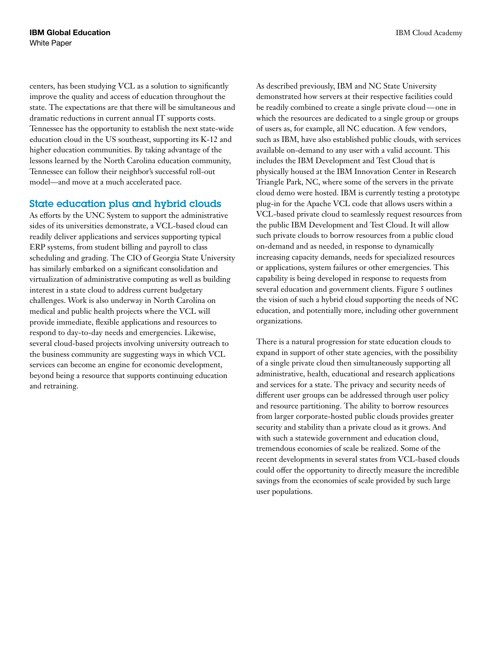centers, has been studying VCL as a solution to significantly improve the quality and access of education throughout the state. The expectations are that there will be simultaneous and dramatic reductions in current annual IT supports costs. Tennessee has the opportunity to establish the next state-wide education cloud in the US southeast, supporting its K-12 and higher education communities. By taking advantage of the lessons learned by the North Carolina education community, Tennessee can follow their neighbor's successful roll-out model—and move at a much accelerated pace.

#### State education plus and hybrid clouds

As efforts by the UNC System to support the administrative sides of its universities demonstrate, a VCL-based cloud can readily deliver applications and services supporting typical ERP systems, from student billing and payroll to class scheduling and grading. The CIO of Georgia State University has similarly embarked on a significant consolidation and virtualization of administrative computing as well as building interest in a state cloud to address current budgetary challenges. Work is also underway in North Carolina on medical and public health projects where the VCL will provide immediate, flexible applications and resources to respond to day-to-day needs and emergencies. Likewise, several cloud-based projects involving university outreach to the business community are suggesting ways in which VCL services can become an engine for economic development, beyond being a resource that supports continuing education and retraining.

As described previously, IBM and NC State University demonstrated how servers at their respective facilities could be readily combined to create a single private cloud—one in which the resources are dedicated to a single group or groups of users as, for example, all NC education. A few vendors, such as IBM, have also established public clouds, with services available on-demand to any user with a valid account. This includes the IBM Development and Test Cloud that is physically housed at the IBM Innovation Center in Research Triangle Park, NC, where some of the servers in the private cloud demo were hosted. IBM is currently testing a prototype plug-in for the Apache VCL code that allows users within a VCL-based private cloud to seamlessly request resources from the public IBM Development and Test Cloud. It will allow such private clouds to borrow resources from a public cloud on-demand and as needed, in response to dynamically increasing capacity demands, needs for specialized resources or applications, system failures or other emergencies. This capability is being developed in response to requests from several education and government clients. Figure 5 outlines the vision of such a hybrid cloud supporting the needs of NC education, and potentially more, including other government organizations.

There is a natural progression for state education clouds to expand in support of other state agencies, with the possibility of a single private cloud then simultaneously supporting all administrative, health, educational and research applications and services for a state. The privacy and security needs of different user groups can be addressed through user policy and resource partitioning. The ability to borrow resources from larger corporate-hosted public clouds provides greater security and stability than a private cloud as it grows. And with such a statewide government and education cloud, tremendous economies of scale be realized. Some of the recent developments in several states from VCL-based clouds could offer the opportunity to directly measure the incredible savings from the economies of scale provided by such large user populations.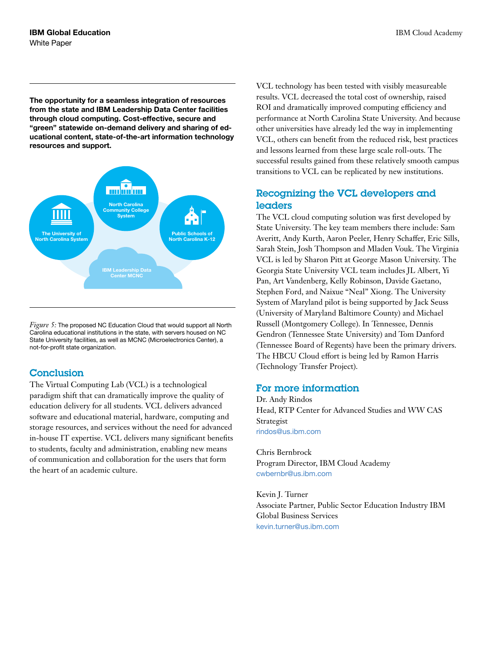The opportunity for a seamless integration of resources from the state and IBM Leadership Data Center facilities through cloud computing. Cost-effective, secure and "green" statewide on-demand delivery and sharing of educational content, state-of-the-art information technology resources and support.



*Figure 5:* The proposed NC Education Cloud that would support all North Carolina educational institutions in the state, with servers housed on NC State University facilities, as well as MCNC (Microelectronics Center), a not-for-profit state organization.

#### **Conclusion**

The Virtual Computing Lab (VCL) is a technological paradigm shift that can dramatically improve the quality of education delivery for all students. VCL delivers advanced software and educational material, hardware, computing and storage resources, and services without the need for advanced in-house IT expertise. VCL delivers many significant benefits to students, faculty and administration, enabling new means of communication and collaboration for the users that form the heart of an academic culture.

VCL technology has been tested with visibly measureable results. VCL decreased the total cost of ownership, raised ROI and dramatically improved computing efficiency and performance at North Carolina State University. And because other universities have already led the way in implementing VCL, others can benefit from the reduced risk, best practices and lessons learned from these large scale roll-outs. The successful results gained from these relatively smooth campus transitions to VCL can be replicated by new institutions.

## Recognizing the VCL developers and leaders

The VCL cloud computing solution was first developed by State University. The key team members there include: Sam Averitt, Andy Kurth, Aaron Peeler, Henry Schaffer, Eric Sills, Sarah Stein, Josh Thompson and Mladen Vouk. The Virginia VCL is led by Sharon Pitt at George Mason University. The Georgia State University VCL team includes JL Albert, Yi Pan, Art Vandenberg, Kelly Robinson, Davide Gaetano, Stephen Ford, and Naixue "Neal" Xiong. The University System of Maryland pilot is being supported by Jack Seuss (University of Maryland Baltimore County) and Michael Russell (Montgomery College). In Tennessee, Dennis Gendron (Tennessee State University) and Tom Danford (Tennessee Board of Regents) have been the primary drivers. The HBCU Cloud effort is being led by Ramon Harris (Technology Transfer Project).

#### For more information

Dr. Andy Rindos Head, RTP Center for Advanced Studies and WW CAS Strategist [rindos@us.ibm.com](mailto:rindos@us.ibm.com)

Chris Bernbrock Program Director, IBM Cloud Academy [cwbernbr@us.ibm.com](mailto:cwbernbr@us.ibm.com)

Kevin J. Turner Associate Partner, Public Sector Education Industry IBM Global Business Services [kevin.turner@us.ibm.com](mailto:kevin.turner@us.ibm.com)